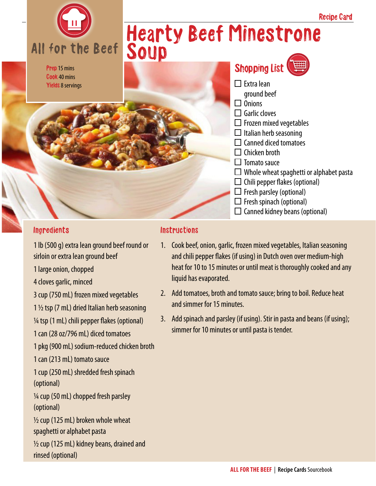

Prep 15 mins Cook 40 mins Yields 8 servings

## Hearty Beef Minestrone



## Ingredients

1 lb (500 g) extra lean ground beef round or sirloin or extra lean ground beef

- 1 large onion, chopped
- 4 cloves garlic, minced
- 3 cup (750 mL) frozen mixed vegetables
- 1 ½ tsp (7 mL) dried Italian herb seasoning
- ¼ tsp (1 mL) chili pepper flakes (optional)
- 1 can (28 oz/796 mL) diced tomatoes
- 1 pkg (900 mL) sodium-reduced chicken broth
- 1 can (213 mL) tomato sauce
- 1 cup (250 mL) shredded fresh spinach (optional)

¼ cup (50 mL) chopped fresh parsley (optional)

- $\frac{1}{2}$  cup (125 mL) broken whole wheat spaghetti or alphabet pasta
- $\frac{1}{2}$  cup (125 mL) kidney beans, drained and rinsed (optional)

## Instructions

- 1. Cook beef, onion, garlic, frozen mixed vegetables, Italian seasoning and chili pepper flakes (if using) in Dutch oven over medium-high heat for 10 to 15 minutes or until meat is thoroughly cooked and any liquid has evaporated.
- 2. Add tomatoes, broth and tomato sauce; bring to boil. Reduce heat and simmer for 15 minutes.
- 3. Add spinach and parsley (if using). Stir in pasta and beans (if using); simmer for 10 minutes or until pasta is tender.